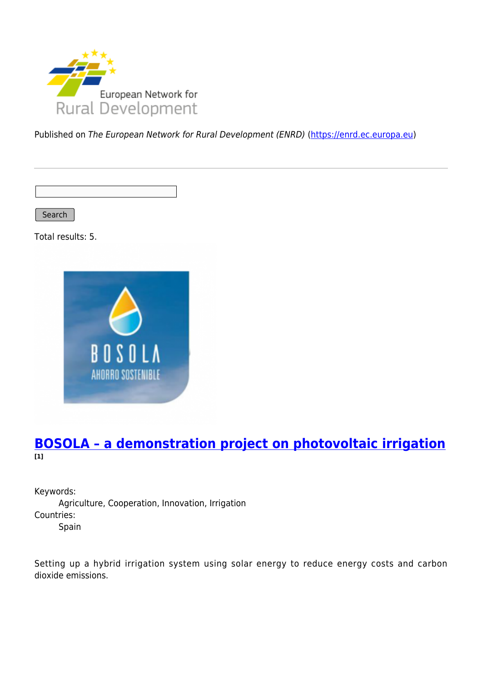

Published on The European Network for Rural Development (ENRD) [\(https://enrd.ec.europa.eu](https://enrd.ec.europa.eu))

Search

Total results: 5.



### **[BOSOLA – a demonstration project on photovoltaic irrigation](https://enrd.ec.europa.eu/projects-practice/bosola-demonstration-project-photovoltaic-irrigation_en) [1]**

Keywords: Agriculture, Cooperation, Innovation, Irrigation Countries: Spain

Setting up a hybrid irrigation system using solar energy to reduce energy costs and carbon dioxide emissions.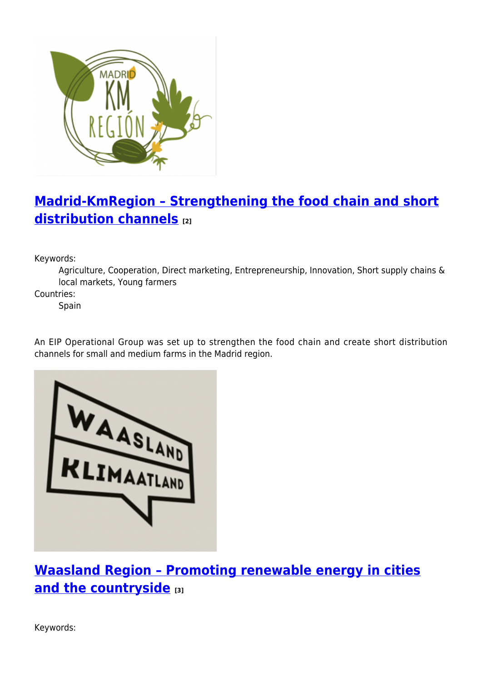

# **[Madrid-KmRegion – Strengthening the food chain and short](https://enrd.ec.europa.eu/projects-practice/madrid-kmregion-strengthening-food-chain-and-short-distribution-channels_en) [distribution channels](https://enrd.ec.europa.eu/projects-practice/madrid-kmregion-strengthening-food-chain-and-short-distribution-channels_en) [2]**

Keywords:

Agriculture, Cooperation, Direct marketing, Entrepreneurship, Innovation, Short supply chains & local markets, Young farmers

Countries:

Spain

An EIP Operational Group was set up to strengthen the food chain and create short distribution channels for small and medium farms in the Madrid region.



**[Waasland Region – Promoting renewable energy in cities](https://enrd.ec.europa.eu/projects-practice/waasland-region-promoting-renewable-energy-cities-and-countryside_en) [and the countryside](https://enrd.ec.europa.eu/projects-practice/waasland-region-promoting-renewable-energy-cities-and-countryside_en) [3]**

Keywords: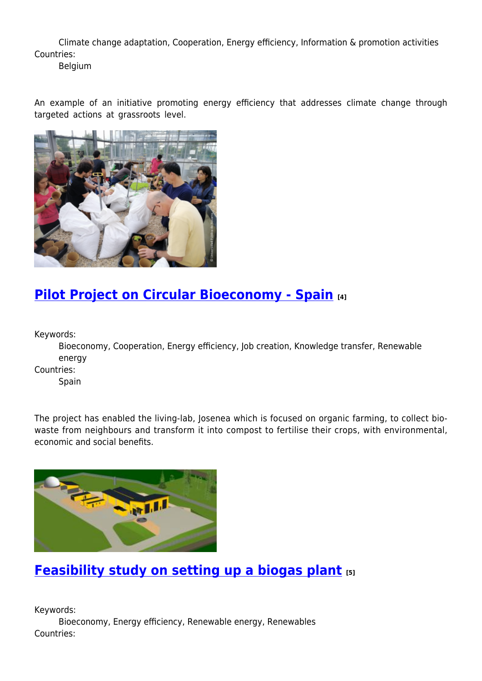Climate change adaptation, Cooperation, Energy efficiency, Information & promotion activities Countries:

Belgium

An example of an initiative promoting energy efficiency that addresses climate change through targeted actions at grassroots level.



### **[Pilot Project on Circular Bioeconomy - Spain](https://enrd.ec.europa.eu/projects-practice/re-thinking-management-organic-waste_en) [4]**

Keywords:

Bioeconomy, Cooperation, Energy efficiency, Job creation, Knowledge transfer, Renewable energy

Countries:

Spain

The project has enabled the living-lab, Josenea which is focused on organic farming, to collect biowaste from neighbours and transform it into compost to fertilise their crops, with environmental, economic and social benefits.



## **[Feasibility study on setting up a biogas plant](https://enrd.ec.europa.eu/projects-practice/feasibility-study-setting-biogas-plant_en) [5]**

Keywords: Bioeconomy, Energy efficiency, Renewable energy, Renewables Countries: